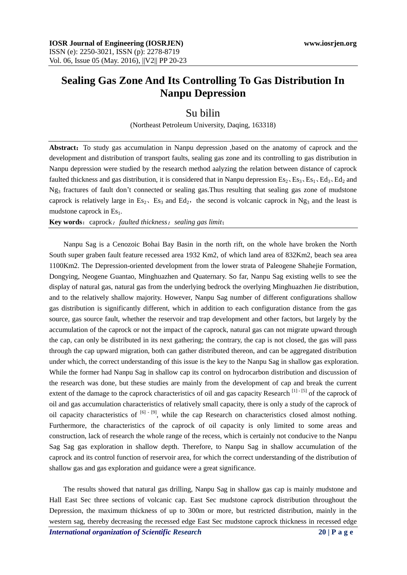## **Sealing Gas Zone And Its Controlling To Gas Distribution In Nanpu Depression**

## Su bilin

(Northeast Petroleum University, Daqing, 163318)

**Abstract:** To study gas accumulation in Nanpu depression , based on the anatomy of caprock and the development and distribution of transport faults, sealing gas zone and its controlling to gas distribution in Nanpu depression were studied by the research method aalyzing the relation between distance of caprock faulted thickness and gas distribution, it is considered that in Nanpu depression  $Es_2, Es_3, Es_1, Ed_3, Ed_2$  and Ng<sup>3</sup> fractures of fault don't connected or sealing gas.Thus resulting that sealing gas zone of mudstone caprock is relatively large in  $Es_2$ ,  $Es_3$  and  $Ed_2$ , the second is volcanic caprock in Ng<sub>3</sub> and the least is mudstone caprock in  $Es<sub>1</sub>$ .

**Key words**:caprock;*faulted thickness*;*sealing gas limit*;

Nanpu Sag is a Cenozoic Bohai Bay Basin in the north rift, on the whole have broken the North South super graben fault feature recessed area 1932 Km2, of which land area of 832Km2, beach sea area 1100Km2. The Depression-oriented development from the lower strata of Paleogene Shahejie Formation, Dongying, Neogene Guantao, Minghuazhen and Quaternary. So far, Nanpu Sag existing wells to see the display of natural gas, natural gas from the underlying bedrock the overlying Minghuazhen Jie distribution, and to the relatively shallow majority. However, Nanpu Sag number of different configurations shallow gas distribution is significantly different, which in addition to each configuration distance from the gas source, gas source fault, whether the reservoir and trap development and other factors, but largely by the accumulation of the caprock or not the impact of the caprock, natural gas can not migrate upward through the cap, can only be distributed in its next gathering; the contrary, the cap is not closed, the gas will pass through the cap upward migration, both can gather distributed thereon, and can be aggregated distribution under which, the correct understanding of this issue is the key to the Nanpu Sag in shallow gas exploration. While the former had Nanpu Sag in shallow cap its control on hydrocarbon distribution and discussion of the research was done, but these studies are mainly from the development of cap and break the current extent of the damage to the caprock characteristics of oil and gas capacity Research [1] - [5] of the caprock of oil and gas accumulation characteristics of relatively small capacity, there is only a study of the caprock of oil capacity characteristics of  $[6]$  -  $[9]$ , while the cap Research on characteristics closed almost nothing. Furthermore, the characteristics of the caprock of oil capacity is only limited to some areas and construction, lack of research the whole range of the recess, which is certainly not conducive to the Nanpu Sag Sag gas exploration in shallow depth. Therefore, to Nanpu Sag in shallow accumulation of the caprock and its control function of reservoir area, for which the correct understanding of the distribution of shallow gas and gas exploration and guidance were a great significance.

The results showed that natural gas drilling, Nanpu Sag in shallow gas cap is mainly mudstone and Hall East Sec three sections of volcanic cap. East Sec mudstone caprock distribution throughout the Depression, the maximum thickness of up to 300m or more, but restricted distribution, mainly in the western sag, thereby decreasing the recessed edge East Sec mudstone caprock thickness in recessed edge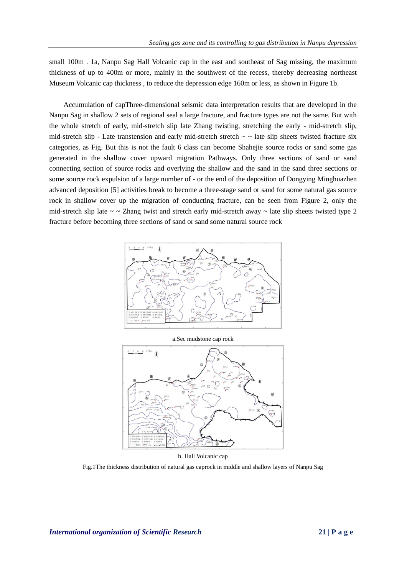small 100m. 1a, Nanpu Sag Hall Volcanic cap in the east and southeast of Sag missing, the maximum thickness of up to 400m or more, mainly in the southwest of the recess, thereby decreasing northeast Museum Volcanic cap thickness , to reduce the depression edge 160m or less, as shown in Figure 1b.

Accumulation of capThree-dimensional seismic data interpretation results that are developed in the Nanpu Sag in shallow 2 sets of regional seal a large fracture, and fracture types are not the same. But with the whole stretch of early, mid-stretch slip late Zhang twisting, stretching the early - mid-stretch slip, mid-stretch slip - Late transtension and early mid-stretch stretch  $\sim \sim$  late slip sheets twisted fracture six categories, as Fig. But this is not the fault 6 class can become Shahejie source rocks or sand some gas generated in the shallow cover upward migration Pathways. Only three sections of sand or sand connecting section of source rocks and overlying the shallow and the sand in the sand three sections or some source rock expulsion of a large number of - or the end of the deposition of Dongying Minghuazhen advanced deposition [5] activities break to become a three-stage sand or sand for some natural gas source rock in shallow cover up the migration of conducting fracture, can be seen from Figure 2, only the mid-stretch slip late  $\sim \sim$  Zhang twist and stretch early mid-stretch away  $\sim$  late slip sheets twisted type 2 fracture before becoming three sections of sand or sand some natural source rock



a.Sec mudstone cap rock



b. Hall Volcanic cap

Fig.1The thickness distribution of natural gas caprock in middle and shallow layers of Nanpu Sag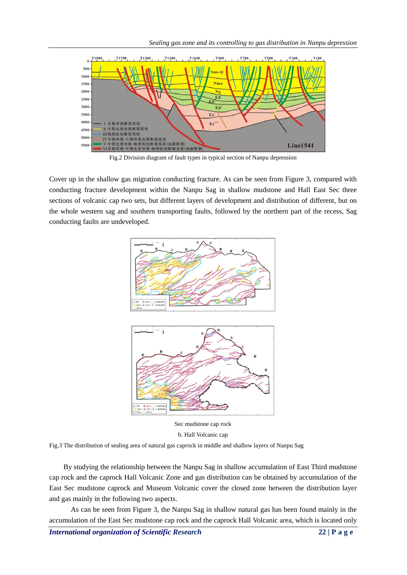

Fig.2 Division diagram of fault types in typical section of Nanpu depression

Cover up in the shallow gas migration conducting fracture. As can be seen from Figure 3, compared with conducting fracture development within the Nanpu Sag in shallow mudstone and Hall East Sec three sections of volcanic cap two sets, but different layers of development and distribution of different, but on the whole western sag and southern transporting faults, followed by the northern part of the recess, Sag conducting faults are undeveloped.



Sec mudstone cap rock b. Hall Volcanic cap

Fig.3 The distribution of sealing area of natural gas caprock in middle and shallow layers of Nanpu Sag

By studying the relationship between the Nanpu Sag in shallow accumulation of East Third mudstone cap rock and the caprock Hall Volcanic Zone and gas distribution can be obtained by accumulation of the East Sec mudstone caprock and Museum Volcanic cover the closed zone between the distribution layer and gas mainly in the following two aspects.

As can be seen from Figure 3, the Nanpu Sag in shallow natural gas has been found mainly in the accumulation of the East Sec mudstone cap rock and the caprock Hall Volcanic area, which is located only

*International organization of Scientific Research* **22 | P a g e**